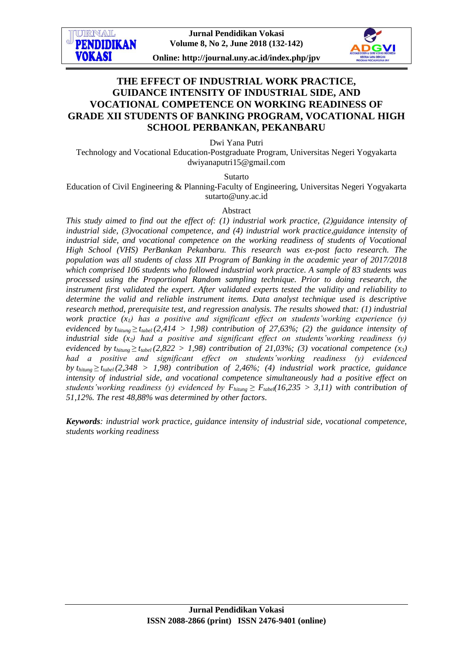**Jurnal Pendidikan Vokasi Volume 8, No 2, June 2018 (132-142)**

**ITRNAT PENDIDIKAN VOKASI** 

**Online: http://journal.uny.ac.id/index.php/jpv**

# **THE EFFECT OF INDUSTRIAL WORK PRACTICE, GUIDANCE INTENSITY OF INDUSTRIAL SIDE, AND VOCATIONAL COMPETENCE ON WORKING READINESS OF GRADE XII STUDENTS OF BANKING PROGRAM, VOCATIONAL HIGH SCHOOL PERBANKAN, PEKANBARU**

Dwi Yana Putri

Technology and Vocational Education-Postgraduate Program, Universitas Negeri Yogyakarta [dwiyanaputri15@gmail.com](mailto:dwiyanaputri15@gmail.com)

Sutarto

Education of Civil Engineering & Planning-Faculty of Engineering, Universitas Negeri Yogyakarta [sutarto@uny.ac.id](mailto:sutarto@uny.ac.id)

#### Abstract

*This study aimed to find out the effect of: (1) industrial work practice, (2)guidance intensity of industrial side, (3)vocational competence, and (4) industrial work practice,guidance intensity of industrial side, and vocational competence on the working readiness of students of Vocational High School (VHS) PerBankan Pekanbaru. This research was ex-post facto research. The population was all students of class XII Program of Banking in the academic year of 2017/2018 which comprised 106 students who followed industrial work practice. A sample of 83 students was processed using the Proportional Random sampling technique. Prior to doing research, the instrument first validated the expert. After validated experts tested the validity and reliability to determine the valid and reliable instrument items. Data analyst technique used is descriptive research method, prerequisite test, and regression analysis. The results showed that: (1) industrial work practice (x1) has a positive and significant effect on students'working experience (y) evidenced by*  $t_{hifump} \geq t_{table}$ (2,414 > 1,98) contribution of 27,63%; (2) the guidance intensity of *industrial side (x2) had a positive and significant effect on students'working readiness (y) evidenced by*  $t_{hitung} \geq t_{table}$  (2,822 > 1,98) contribution of 21,03%; (3) vocational competence (x<sub>3</sub>) *had a positive and significant effect on students'working readiness (y) evidenced by*  $t_{\text{hitung}} \geq t_{\text{table}}(2,348 > 1,98)$  contribution of 2,46%; (4) industrial work practice, guidance *intensity of industrial side, and vocational competence simultaneously had a positive effect on students'working readiness (y) evidenced by*  $F_{\text{hitung}} \geq F_{\text{table}}(16,235 > 3,11)$  *with contribution of 51,12%. The rest 48,88% was determined by other factors.*

*Keywords: industrial work practice, guidance intensity of industrial side, vocational competence, students working readiness*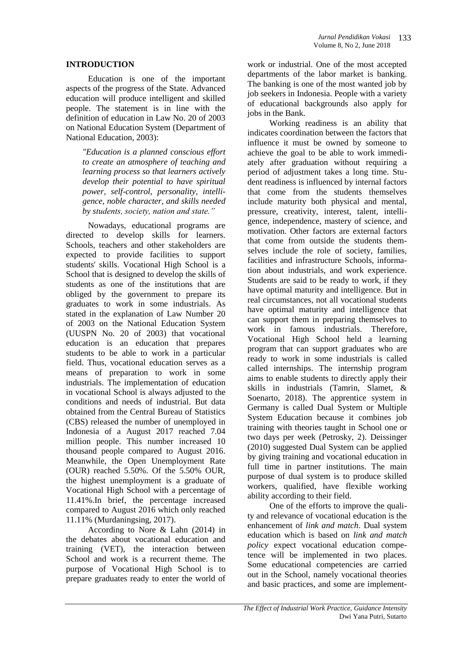### **INTRODUCTION**

Education is one of the important aspects of the progress of the State. Advanced education will produce intelligent and skilled people. The statement is in line with the definition of education in Law No. 20 of 2003 on National Education System (Department of National Education, 2003):

*"Education is a planned conscious effort to create an atmosphere of teaching and learning process so that learners actively develop their potential to have spiritual power, self-control, personality, intelligence, noble character, and skills needed by students, society, nation and state."*

Nowadays, educational programs are directed to develop skills for learners. Schools, teachers and other stakeholders are expected to provide facilities to support students' skills. Vocational High School is a School that is designed to develop the skills of students as one of the institutions that are obliged by the government to prepare its graduates to work in some industrials. As stated in the explanation of Law Number 20 of 2003 on the National Education System (UUSPN No. 20 of 2003) that vocational education is an education that prepares students to be able to work in a particular field. Thus, vocational education serves as a means of preparation to work in some industrials. The implementation of education in vocational School is always adjusted to the conditions and needs of industrial. But data obtained from the Central Bureau of Statistics (CBS) released the number of unemployed in Indonesia of a August 2017 reached 7.04 million people. This number increased 10 thousand people compared to August 2016. Meanwhile, the Open Unemployment Rate (OUR) reached 5.50%. Of the 5.50% OUR, the highest unemployment is a graduate of Vocational High School with a percentage of 11.41%.In brief, the percentage increased compared to August 2016 which only reached 11.11% (Murdaningsing, 2017).

According to Nore & Lahn (2014) in the debates about vocational education and training (VET), the interaction between School and work is a recurrent theme. The purpose of Vocational High School is to prepare graduates ready to enter the world of

work or industrial. One of the most accepted departments of the labor market is banking. The banking is one of the most wanted job by job seekers in Indonesia. People with a variety of educational backgrounds also apply for jobs in the Bank.

Working readiness is an ability that indicates coordination between the factors that influence it must be owned by someone to achieve the goal to be able to work immediately after graduation without requiring a period of adjustment takes a long time. Student readiness is influenced by internal factors that come from the students themselves include maturity both physical and mental, pressure, creativity, interest, talent, intelligence, independence, mastery of science, and motivation. Other factors are external factors that come from outside the students themselves include the role of society, families, facilities and infrastructure Schools, information about industrials, and work experience. Students are said to be ready to work, if they have optimal maturity and intelligence. But in real circumstances, not all vocational students have optimal maturity and intelligence that can support them in preparing themselves to work in famous industrials. Therefore, Vocational High School held a learning program that can support graduates who are ready to work in some industrials is called called internships. The internship program aims to enable students to directly apply their skills in industrials (Tamrin, Slamet, & Soenarto, 2018). The apprentice system in Germany is called Dual System or Multiple System Education because it combines job training with theories taught in School one or two days per week (Petrosky, 2). Deissinger (2010) suggested Dual System can be applied by giving training and vocational education in full time in partner institutions. The main purpose of dual system is to produce skilled workers, qualified, have flexible working ability according to their field.

One of the efforts to improve the quality and relevance of vocational education is the enhancement of *link and match*. Dual system education which is based on *link and match policy* expect vocational education competence will be implemented in two places. Some educational competencies are carried out in the School, namely vocational theories and basic practices, and some are implement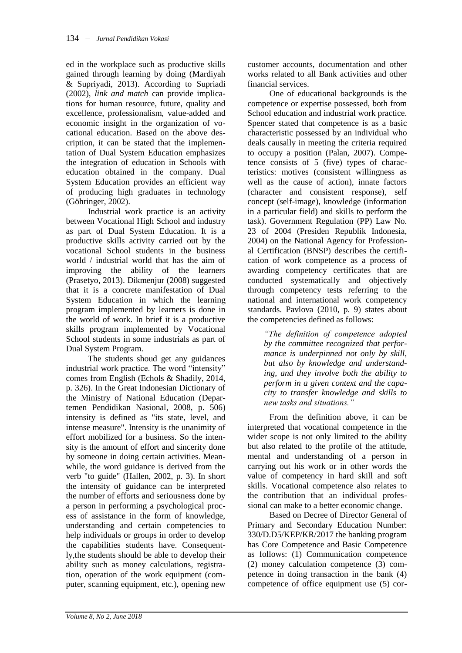ed in the workplace such as productive skills gained through learning by doing (Mardiyah & Supriyadi, 2013). According to Supriadi (2002), *link and match* can provide implications for human resource, future, quality and excellence, professionalism, value-added and economic insight in the organization of vocational education. Based on the above description, it can be stated that the implementation of Dual System Education emphasizes the integration of education in Schools with education obtained in the company. Dual System Education provides an efficient way of producing high graduates in technology (Göhringer, 2002).

Industrial work practice is an activity between Vocational High School and industry as part of Dual System Education. It is a productive skills activity carried out by the vocational School students in the business world / industrial world that has the aim of improving the ability of the learners (Prasetyo, 2013). Dikmenjur (2008) suggested that it is a concrete manifestation of Dual System Education in which the learning program implemented by learners is done in the world of work. In brief it is a productive skills program implemented by Vocational School students in some industrials as part of Dual System Program.

The students shoud get any guidances industrial work practice. The word "intensity" comes from English (Echols & Shadily, 2014, p. 326). In the Great Indonesian Dictionary of the Ministry of National Education (Departemen Pendidikan Nasional, 2008, p. 506) intensity is defined as "its state, level, and intense measure". Intensity is the unanimity of effort mobilized for a business. So the intensity is the amount of effort and sincerity done by someone in doing certain activities. Meanwhile, the word guidance is derived from the verb "to guide" (Hallen, 2002, p. 3). In short the intensity of guidance can be interpreted the number of efforts and seriousness done by a person in performing a psychological process of assistance in the form of knowledge, understanding and certain competencies to help individuals or groups in order to develop the capabilities students have. Consequently,the students should be able to develop their ability such as money calculations, registration, operation of the work equipment (computer, scanning equipment, etc.), opening new

customer accounts, documentation and other works related to all Bank activities and other financial services.

One of educational backgrounds is the competence or expertise possessed, both from School education and industrial work practice. Spencer stated that competence is as a basic characteristic possessed by an individual who deals causally in meeting the criteria required to occupy a position (Palan, 2007). Competence consists of 5 (five) types of characteristics: motives (consistent willingness as well as the cause of action), innate factors (character and consistent response), self concept (self-image), knowledge (information in a particular field) and skills to perform the task). Government Regulation (PP) Law No. 23 of 2004 (Presiden Republik Indonesia, 2004) on the National Agency for Professional Certification (BNSP) describes the certification of work competence as a process of awarding competency certificates that are conducted systematically and objectively through competency tests referring to the national and international work competency standards. Pavlova (2010, p. 9) states about the competencies defined as follows:

*"The definition of competence adopted by the committee recognized that performance is underpinned not only by skill, but also by knowledge and understanding, and they involve both the ability to perform in a given context and the capacity to transfer knowledge and skills to new tasks and situations."*

From the definition above, it can be interpreted that vocational competence in the wider scope is not only limited to the ability but also related to the profile of the attitude, mental and understanding of a person in carrying out his work or in other words the value of competency in hard skill and soft skills. Vocational competence also relates to the contribution that an individual professional can make to a better economic change.

Based on Decree of Director General of Primary and Secondary Education Number: 330/D.D5/KEP/KR/2017 the banking program has Core Competence and Basic Competence as follows: (1) Communication competence (2) money calculation competence (3) competence in doing transaction in the bank (4) competence of office equipment use (5) cor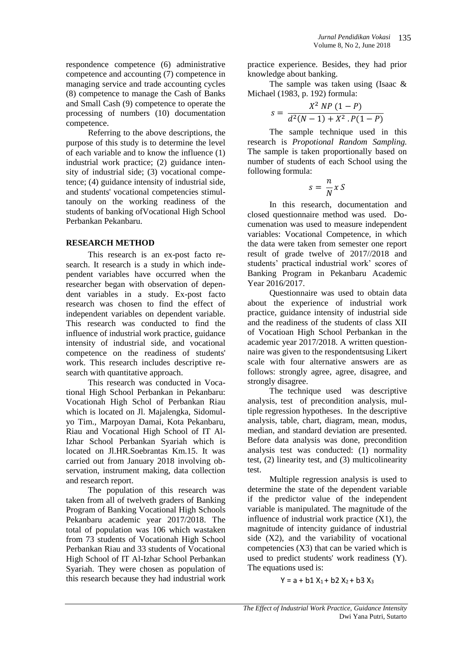respondence competence (6) administrative competence and accounting (7) competence in managing service and trade accounting cycles (8) competence to manage the Cash of Banks and Small Cash (9) competence to operate the processing of numbers (10) documentation competence.

Referring to the above descriptions, the purpose of this study is to determine the level of each variable and to know the influence (1) industrial work practice; (2) guidance intensity of industrial side; (3) vocational competence; (4) guidance intensity of industrial side, and students' vocational competencies stimultanouly on the working readiness of the students of banking ofVocational High School Perbankan Pekanbaru.

### **RESEARCH METHOD**

This research is an ex-post facto research. It research is a study in which independent variables have occurred when the researcher began with observation of dependent variables in a study. Ex-post facto research was chosen to find the effect of independent variables on dependent variable. This research was conducted to find the influence of industrial work practice, guidance intensity of industrial side, and vocational competence on the readiness of students' work. This research includes descriptive research with quantitative approach.

This research was conducted in Vocational High School Perbankan in Pekanbaru: Vocationah High Schol of Perbankan Riau which is located on Jl. Majalengka, Sidomulyo Tim., Marpoyan Damai, Kota Pekanbaru, Riau and Vocational High School of IT Al-Izhar School Perbankan Syariah which is located on Jl.HR.Soebrantas Km.15. It was carried out from January 2018 involving observation, instrument making, data collection and research report.

The population of this research was taken from all of twelveth graders of Banking Program of Banking Vocational High Schools Pekanbaru academic year 2017/2018. The total of population was 106 which wastaken from 73 students of Vocationah High School Perbankan Riau and 33 students of Vocational High School of IT Al-Izhar School Perbankan Syariah. They were chosen as population of this research because they had industrial work

practice experience. Besides, they had prior knowledge about banking.

The sample was taken using (Isaac & Michael (1983, p. 192) formula:

$$
s = \frac{X^2 \, NP \, (1 - P)}{d^2(N - 1) + X^2 \cdot P(1 - P)}
$$

The sample technique used in this research is *Propotional Random Sampling.*  The sample is taken proportionally based on number of students of each School using the following formula:

$$
s = \frac{n}{N} x S
$$

In this research, documentation and closed questionnaire method was used. Documenation was used to measure independent variables: Vocational Competence, in which the data were taken from semester one report result of grade twelve of 2017//2018 and students' practical industrial work' scores of Banking Program in Pekanbaru Academic Year 2016/2017.

Questionnaire was used to obtain data about the experience of industrial work practice, guidance intensity of industrial side and the readiness of the students of class XII of Vocatioan High School Perbankan in the academic year 2017/2018. A written questionnaire was given to the respondentsusing Likert scale with four alternative answers are as follows: strongly agree, agree, disagree, and strongly disagree.

The technique used was descriptive analysis, test of precondition analysis, multiple regression hypotheses. In the descriptive analysis, table, chart, diagram, mean, modus, median, and standard deviation are presented. Before data analysis was done, precondition analysis test was conducted: (1) normality test, (2) linearity test, and (3) multicolinearity test.

Multiple regression analysis is used to determine the state of the dependent variable if the predictor value of the independent variable is manipulated. The magnitude of the influence of industrial work practice  $(X1)$ , the magnitude of intencity guidance of industrial side (X2), and the variability of vocational competencies (X3) that can be varied which is used to predict students' work readiness (Y). The equations used is:

 $Y = a + b1 X_1 + b2 X_2 + b3 X_3$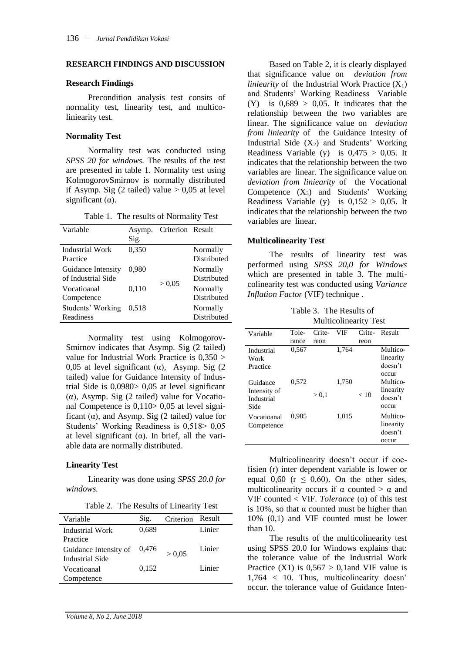#### **RESEARCH FINDINGS AND DISCUSSION**

#### **Research Findings**

Precondition analysis test consits of normality test, linearity test, and multicoliniearity test.

#### **Normality Test**

Normality test was conducted using *SPSS 20 for windows.* The results of the test are presented in table 1. Normality test using KolmogorovSmirnov is normally distributed if Asymp. Sig (2 tailed) value  $> 0.05$  at level significant  $(\alpha)$ .

|  |  | Table 1. The results of Normality Test |  |
|--|--|----------------------------------------|--|
|--|--|----------------------------------------|--|

| Variable                                 | Asymp.<br>Sig. | Criterion Result |                         |
|------------------------------------------|----------------|------------------|-------------------------|
| Industrial Work<br>Practice              | 0,350          |                  | Normally<br>Distributed |
| Guidance Intensity<br>of Industrial Side | 0.980          |                  | Normally<br>Distributed |
| Vocatioanal<br>Competence                | 0,110          | > 0.05           | Normally<br>Distributed |
| Students' Working<br>Readiness           | 0.518          |                  | Normally<br>Distributed |

Normality test using Kolmogorov-Smirnov indicates that Asymp. Sig (2 tailed) value for Industrial Work Practice is 0,350 > 0,05 at level significant ( $\alpha$ ), Asymp. Sig (2) tailed) value for Guidance Intensity of Industrial Side is 0,0980> 0,05 at level significant ( $\alpha$ ), Asymp. Sig (2 tailed) value for Vocational Competence is 0,110> 0,05 at level significant ( $\alpha$ ), and Asymp. Sig (2 tailed) value for Students' Working Readiness is 0,518> 0,05 at level significant  $(\alpha)$ . In brief, all the variable data are normally distributed.

### **Linearity Test**

Linearity was done using *SPSS 20.0 for windows.* 

Table 2. The Results of Linearity Test

| Sig.<br>Result<br>Criterion<br>Variable<br>Linier<br>0,689<br>Industrial Work<br>Practice<br>Linier<br>0,476<br>Guidance Intensity of<br>> 0.05<br>Industrial Side<br>Linier<br>0,152<br>Vocatioanal |            |  |  |
|------------------------------------------------------------------------------------------------------------------------------------------------------------------------------------------------------|------------|--|--|
|                                                                                                                                                                                                      |            |  |  |
|                                                                                                                                                                                                      |            |  |  |
|                                                                                                                                                                                                      |            |  |  |
|                                                                                                                                                                                                      |            |  |  |
|                                                                                                                                                                                                      |            |  |  |
|                                                                                                                                                                                                      |            |  |  |
|                                                                                                                                                                                                      | Competence |  |  |

Based on Table 2, it is clearly displayed that significance value on *deviation from liniearity* of the Industrial Work Practice  $(X_1)$ and Students' Working Readiness Variable  $(Y)$  is  $0.689 > 0.05$ . It indicates that the relationship between the two variables are linear. The significance value on *deviation from liniearity* of the Guidance Intesity of Industrial Side  $(X_2)$  and Students' Working Readiness Variable (y) is  $0.475 > 0.05$ . It indicates that the relationship between the two variables are linear. The significance value on *deviation from liniearity* of the Vocational Competence  $(X_3)$  and Students' Working Readiness Variable (y) is  $0,152 > 0,05$ . It indicates that the relationship between the two variables are linear.

#### **Multicolinearity Test**

The results of linearity test was performed using *SPSS 20,0 for Windows* which are presented in table 3. The multicolinearity test was conducted using *Variance Inflation Factor* (VIF) technique .

Table 3. The Results of Multicolinearity Test

|                                                |       |        | $\cdots$ |        |                                           |
|------------------------------------------------|-------|--------|----------|--------|-------------------------------------------|
| Variable                                       | Tole- | Crite- | VIF      | Crite- | Result                                    |
|                                                | rance | reon   |          | reon   |                                           |
| Industrial<br>Work<br>Practice                 | 0,567 |        | 1,764    |        | Multico-<br>linearity<br>doesn't<br>occur |
| Guidance<br>Intensity of<br>Industrial<br>Side | 0,572 | > 0.1  | 1,750    | < 10   | Multico-<br>linearity<br>doesn't<br>occur |
| Vocatioanal<br>Competence                      | 0.985 |        | 1,015    |        | Multico-<br>linearity<br>doesn't<br>occur |

Multicolinearity doesn't occur if coefisien (r) inter dependent variable is lower or equal 0,60 ( $r \le 0.60$ ). On the other sides, multicolinearity occurs if  $\alpha$  counted  $>\alpha$  and VIF counted < VIF. *Tolerance* (α) of this test is 10%, so that  $\alpha$  counted must be higher than 10% (0,1) and VIF counted must be lower than 10.

The results of the multicolinearity test using SPSS 20.0 for Windows explains that: the tolerance value of the Industrial Work Practice  $(X1)$  is  $0.567 > 0.1$  and VIF value is 1,764 < 10. Thus, multicolinearity doesn' occur. the tolerance value of Guidance Inten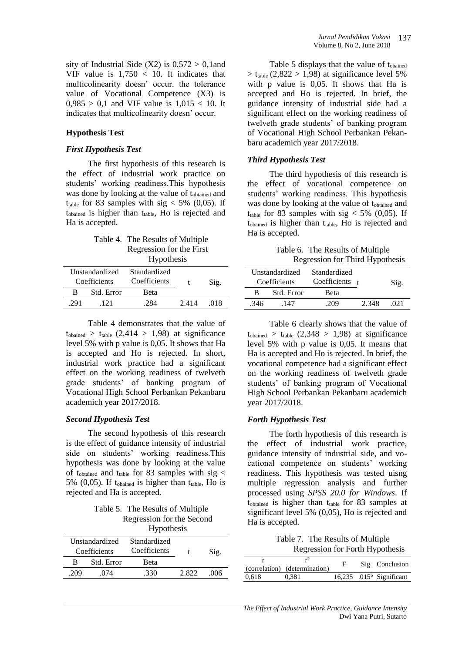sity of Industrial Side  $(X2)$  is  $0.572 > 0.1$  and VIF value is  $1.750 < 10$ . It indicates that multicolinearity doesn' occur. the tolerance value of Vocational Competence (X3) is  $0.985 > 0.1$  and VIF value is  $1.015 < 10$ . It indicates that multicolinearity doesn' occur.

### **Hypothesis Test**

#### *First Hypothesis Test*

The first hypothesis of this research is the effect of industrial work practice on students' working readiness.This hypothesis was done by looking at the value of t<sub>obtained</sub> and t<sub>table</sub> for 83 samples with sig  $<$  5% (0,05). If tobained is higher than ttable, Ho is rejected and Ha is accepted.

Table 4. The Results of Multiple Regression for the First Hypothesis

| Unstandardized<br>Coefficients |     | Standardized<br>Coefficients |      | Sig.  |      |  |
|--------------------------------|-----|------------------------------|------|-------|------|--|
|                                | R   | Std. Error                   | Beta |       |      |  |
|                                | 291 | -121                         | 284  | 2.414 | -018 |  |
|                                |     |                              |      |       |      |  |

Table 4 demonstrates that the value of  $t_{\text{obained}} > t_{\text{table}}$  (2,414 > 1,98) at significance level 5% with p value is 0,05. It shows that Ha is accepted and Ho is rejected. In short, industrial work practice had a significant effect on the working readiness of twelveth grade students' of banking program of Vocational High School Perbankan Pekanbaru academich year 2017/2018.

#### *Second Hypothesis Test*

The second hypothesis of this research is the effect of guidance intensity of industrial side on students' working readiness.This hypothesis was done by looking at the value of t<sub>obtained</sub> and t<sub>table</sub> for 83 samples with sig  $\lt$ 5% (0,05). If  $t_{\text{obained}}$  is higher than  $t_{\text{table}}$ , Ho is rejected and Ha is accepted.

Table 5. The Results of Multiple Regression for the Second Hypothesis

|     |                                | 11 y poulosis                |       |      |
|-----|--------------------------------|------------------------------|-------|------|
|     | Unstandardized<br>Coefficients | Standardized<br>Coefficients |       | Sig. |
| в   | Std. Error                     | Beta                         |       |      |
| 209 | .074                           | .330                         | 2.822 | 006  |
|     |                                |                              |       |      |

Table 5 displays that the value of tobained  $>$  t<sub>table</sub> (2,822  $>$  1,98) at significance level 5% with p value is 0,05. It shows that Ha is accepted and Ho is rejected. In brief, the guidance intensity of industrial side had a significant effect on the working readiness of twelveth grade students' of banking program of Vocational High School Perbankan Pekanbaru academich year 2017/2018.

#### *Third Hypothesis Test*

The third hypothesis of this research is the effect of vocational competence on students' working readiness. This hypothesis was done by looking at the value of tobtained and t<sub>table</sub> for 83 samples with sig  $<$  5% (0,05). If t<sub>obained</sub> is higher than t<sub>table</sub>, Ho is rejected and Ha is accepted.

| Table 6. The Results of Multiple |
|----------------------------------|
| Regression for Third Hypothesis  |

|      | Unstandardized<br>Coefficients | Standardized<br>Coefficients $t$ |       | Sig. |
|------|--------------------------------|----------------------------------|-------|------|
| в    | Std. Error                     | <b>Beta</b>                      |       |      |
| .346 | -147                           | 209                              | 2.348 | 021  |

Table 6 clearly shows that the value of  $t_{\text{obained}} > t_{\text{table}}$  (2,348 > 1,98) at significance level 5% with p value is 0,05. It means that Ha is accepted and Ho is rejected. In brief, the vocational competence had a significant effect on the working readiness of twelveth grade students' of banking program of Vocational High School Perbankan Pekanbaru academich year 2017/2018.

#### *Forth Hypothesis Test*

The forth hypothesis of this research is the effect of industrial work practice, guidance intensity of industrial side, and vocational competence on students' working readiness. This hypothesis was tested uisng multiple regression analysis and further processed using *SPSS 20.0 for Windows*. If  $t_{\text{obtained}}$  is higher than  $t_{\text{table}}$  for 83 samples at significant level 5% (0,05), Ho is rejected and Ha is accepted.

Table 7. The Results of Multiple Regression for Forth Hypothesis

|       | r4<br>(correlation) (determination) | F | Sig Conclusion                       |
|-------|-------------------------------------|---|--------------------------------------|
| 0.618 | 0.381                               |   | 16,235 .015 <sup>b</sup> Significant |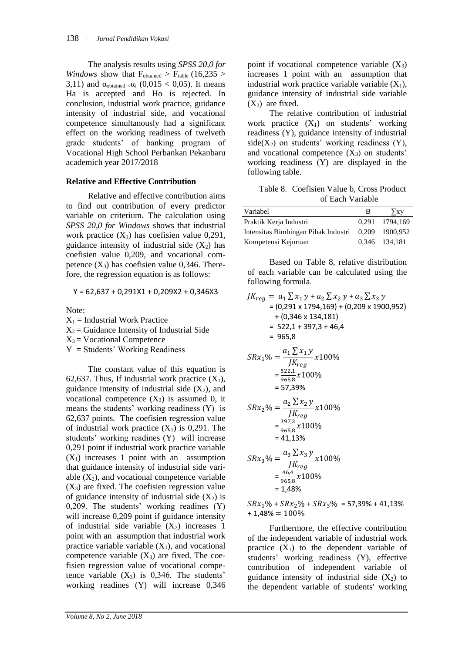The analysis results using *SPSS 20,0 for Windows* show that  $F_{\text{obtained}} > F_{\text{table}} (16,235 >$ 3,11) and  $\alpha_{\text{obtained}} \ll \alpha_i (0.015 \lt 0.05)$ . It means Ha is accepted and Ho is rejected. In conclusion, industrial work practice, guidance intensity of industrial side, and vocational competence simultanously had a significant effect on the working readiness of twelveth grade students' of banking program of Vocational High School Perbankan Pekanbaru academich year 2017/2018

### **Relative and Effective Contribution**

Relative and effective contribution aims to find out contribution of every predictor variable on criterium. The calculation using *SPSS 20,0 for Windows* shows that industrial work practice  $(X_1)$  has coefisien value 0,291, guidance intensity of industrial side  $(X_2)$  has coefisien value 0,209, and vocational competence  $(X_3)$  has coefisien value 0,346. Therefore, the regression equation is as follows:

$$
Y = 62,637 + 0,291X1 + 0,209X2 + 0,346X3
$$

Note:

 $X_1$  = Industrial Work Practice

 $X_2$  = Guidance Intensity of Industrial Side

 $X_3$  = Vocational Competence

 $Y =$  Students' Working Readiness

The constant value of this equation is 62,637. Thus, If industrial work practice  $(X_1)$ , guidance intensity of industrial side  $(X_2)$ , and vocational competence  $(X_3)$  is assumed 0, it means the students' working readiness (Y) is 62,637 points. The coefisien regression value of industrial work practice  $(X_1)$  is 0,291. The students' working readines (Y) will increase 0,291 point if industrial work practice variable  $(X_1)$  increases 1 point with an assumption that guidance intensity of industrial side variable  $(X_2)$ , and vocational competence variable  $(X_3)$  are fixed. The coefisien regression value of guidance intensity of industrial side  $(X_2)$  is 0,209. The students' working readines (Y) will increase 0,209 point if guidance intensity of industrial side variable  $(X_2)$  increases 1 point with an assumption that industrial work practice variable variable  $(X_1)$ , and vocational competence variable  $(X_3)$  are fixed. The coefisien regression value of vocational competence variable  $(X_3)$  is 0,346. The students' working readines (Y) will increase 0,346

point if vocational competence variable  $(X_3)$ increases 1 point with an assumption that industrial work practice variable variable  $(X_1)$ , guidance intensity of industrial side variable  $(X_2)$  are fixed.

The relative contribution of industrial work practice  $(X_1)$  on students' working readiness (Y), guidance intensity of industrial side( $X_2$ ) on students' working readiness (Y), and vocational competence  $(X_3)$  on students' working readiness (Y) are displayed in the following table.

Table 8. Coefisien Value b, Cross Product of Each Variable

| Variabel                            | B     | ∑ху            |
|-------------------------------------|-------|----------------|
| Praktik Kerja Industri              |       | 0,291 1794,169 |
| Intensitas Bimbingan Pihak Industri | 0.209 | 1900.952       |
| Kompetensi Kejuruan                 |       | 0,346 134,181  |

Based on Table 8, relative distribution of each variable can be calculated using the following formula.

$$
JK_{reg} = a_1 \sum x_1 y + a_2 \sum x_2 y + a_3 \sum x_3 y
$$
  
\n= (0,291 x 1794,169) + (0,209 x 1900,952)  
\n+ (0,346 x 134,181)  
\n= 522,1 + 397,3 + 46,4  
\n= 965,8  
\nSRx<sub>1</sub>% =  $\frac{a_1 \sum x_1 y}{JK_{reg}} x100\%$   
\n=  $\frac{522.1}{965,8} x100\%$   
\n= 57,39%  
\nSRx<sub>2</sub>% =  $\frac{a_2 \sum x_2 y}{JK_{reg}} x100\%$   
\n=  $\frac{397,3}{965,8} x100\%$   
\n= 41,13%  
\nSRx<sub>3</sub>% =  $\frac{a_3 \sum x_3 y}{JK_{reg}} x100\%$   
\n=  $\frac{46,4}{965,8} x100\%$   
\n= 1,48%

 $SRx_1\% + SRx_2\% + SRx_3\% = 57,39\% + 41,13\%$  $+ 1,48\% = 100\%$ 

Furthermore, the effective contribution of the independent variable of industrial work practice  $(X_1)$  to the dependent variable of students' working readiness (Y), effective contribution of independent variable of guidance intensity of industrial side  $(X_2)$  to the dependent variable of students' working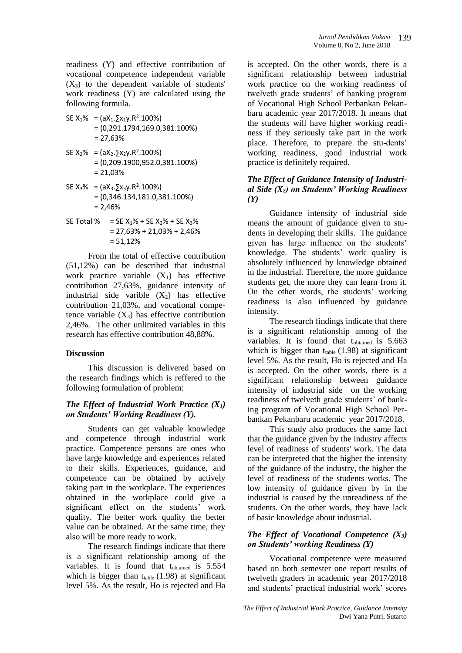readiness (Y) and effective contribution of vocational competence independent variable  $(X_3)$  to the dependent variable of students' work readiness (Y) are calculated using the following formula.

SE  $X_1\% = (aX_1.\sum x_1y.R^2.100\%)$ = (0,291.1794,169.0,381.100%)  $= 27,63%$ 

- SE  $X_2\% = (aX_2.\sum x_2y.R^2.100\%)$ = (0,209.1900,952.0,381.100%) = 21,03%
- SE  $X_3\% = (aX_3.\sum x_3y.R^2.100\%)$ = (0,346.134,181.0,381.100%)  $= 2,46%$
- SE Total % = SE  $X_1\%$  + SE  $X_2\%$  + SE  $X_3\%$  $= 27,63\% + 21,03\% + 2,46\%$ = 51,12%

From the total of effective contribution (51,12%) can be described that industrial work practice variable  $(X_1)$  has effective contribution 27,63%, guidance intensity of industrial side varible  $(X_2)$  has effective contribution 21,03%, and vocational competence variable  $(X_3)$  has effective contribution 2,46%. The other unlimited variables in this research has effective contribution 48,88%.

### **Discussion**

This discussion is delivered based on the research findings which is reffered to the following formulation of problem:

### *The Effect of Industrial Work Practice (X1) on Students' Working Readiness (Y).*

Students can get valuable knowledge and competence through industrial work practice. Competence persons are ones who have large knowledge and experiences related to their skills. Experiences, guidance, and competence can be obtained by actively taking part in the workplace. The experiences obtained in the workplace could give a significant effect on the students' work quality. The better work quality the better value can be obtained. At the same time, they also will be more ready to work.

The research findings indicate that there is a significant relationship among of the variables. It is found that tobtained is 5.554 which is bigger than  $t_{table}$  (1.98) at significant level 5%. As the result, Ho is rejected and Ha

is accepted. On the other words, there is a significant relationship between industrial work practice on the working readiness of twelveth grade students' of banking program of Vocational High School Perbankan Pekanbaru academic year 2017/2018. It means that the students will have higher working readiness if they seriously take part in the work place. Therefore, to prepare the stu-dents' working readiness, good industrial work practice is definitely required.

### *The Effect of Guidance Intensity of Industrial Side (X2) on Students' Working Readiness (Y)*

Guidance intensity of industrial side means the amount of guidance given to students in developing their skills. The guidance given has large influence on the students' knowledge. The students' work quality is absolutely influenced by knowledge obtained in the industrial. Therefore, the more guidance students get, the more they can learn from it. On the other words, the students' working readiness is also influenced by guidance intensity.

The research findings indicate that there is a significant relationship among of the variables. It is found that tobtained is 5.663 which is bigger than  $t_{table}$  (1.98) at significant level 5%. As the result, Ho is rejected and Ha is accepted. On the other words, there is a significant relationship between guidance intensity of industrial side on the working readiness of twelveth grade students' of banking program of Vocational High School Perbankan Pekanbaru academic year 2017/2018.

This study also produces the same fact that the guidance given by the industry affects level of readiness of students' work. The data can be interpreted that the higher the intensity of the guidance of the industry, the higher the level of readiness of the students works. The low intensity of guidance given by in the industrial is caused by the unreadiness of the students. On the other words, they have lack of basic knowledge about industrial.

### *The Effect of Vocational Competence (X3) on Students' working Readiness (Y)*

Vocational competence were measured based on both semester one report results of twelveth graders in academic year 2017/2018 and students' practical industrial work' scores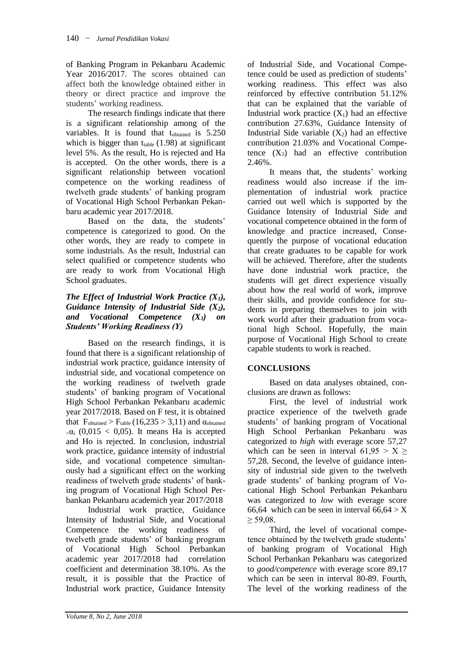of Banking Program in Pekanbaru Academic Year 2016/2017. The scores obtained can affect both the knowledge obtained either in theory or direct practice and improve the students' working readiness.

The research findings indicate that there is a significant relationship among of the variables. It is found that tobtained is 5.250 which is bigger than  $t_{table}$  (1.98) at significant level 5%. As the result, Ho is rejected and Ha is accepted. On the other words, there is a significant relationship between vocationl competence on the working readiness of twelveth grade students' of banking program of Vocational High School Perbankan Pekanbaru academic year 2017/2018.

Based on the data, the students' competence is categorized to good. On the other words, they are ready to compete in some industrials. As the result, Industrial can select qualified or competence students who are ready to work from Vocational High School graduates.

### *The Effect of Industrial Work Practice (X1), Guidance Intensity of Industrial Side (X2), and Vocational Competence (X3) on Students' Working Readiness (Y)*

Based on the research findings, it is found that there is a significant relationship of industrial work practice, guidance intensity of industrial side, and vocational competence on the working readiness of twelveth grade students' of banking program of Vocational High School Perbankan Pekanbaru academic year 2017/2018. Based on F test, it is obtained that  $F_{\text{obtained}} > F_{\text{table}} (16,235 > 3,11)$  and  $\alpha_{\text{obtained}}$  $\alpha_i$  (0,015 < 0,05). It means Ha is accepted and Ho is rejected. In conclusion, industrial work practice, guidance intensity of industrial side, and vocational competence simultanously had a significant effect on the working readiness of twelveth grade students' of banking program of Vocational High School Perbankan Pekanbaru academich year 2017/2018

Industrial work practice, Guidance Intensity of Industrial Side, and Vocational Competence the working readiness of twelveth grade students' of banking program of Vocational High School Perbankan academic year 2017/2018 had correlation coefficient and determination 38.10%. As the result, it is possible that the Practice of Industrial work practice, Guidance Intensity

of Industrial Side, and Vocational Competence could be used as prediction of students' working readiness. This effect was also reinforced by effective contribution 51.12% that can be explained that the variable of Industrial work practice  $(X_1)$  had an effective contribution 27.63%, Guidance Intensity of Industrial Side variable  $(X_2)$  had an effective contribution 21.03% and Vocational Competence  $(X_3)$  had an effective contribution 2.46%.

It means that, the students' working readiness would also increase if the implementation of industrial work practice carried out well which is supported by the Guidance Intensity of Industrial Side and vocational competence obtained in the form of knowledge and practice increased, Consequently the purpose of vocational education that create graduates to be capable for work will be achieved. Therefore, after the students have done industrial work practice, the students will get direct experience visually about how the real world of work, improve their skills, and provide confidence for students in preparing themselves to join with work world after their graduation from vocational high School. Hopefully, the main purpose of Vocational High School to create capable students to work is reached.

## **CONCLUSIONS**

Based on data analyses obtained, conclusions are drawn as follows:

First, the level of industrial work practice experience of the twelveth grade students' of banking program of Vocational High School Perbankan Pekanbaru was categorized to *high* with everage score 57,27 which can be seen in interval  $61,95 > X \geq$ 57,28. Second, the levelve of guidance intensity of industrial side given to the twelveth grade students' of banking program of Vocational High School Perbankan Pekanbaru was categorized to *low* with everage score 66,64 which can be seen in interval  $66,64 > X$  $>$  59.08.

Third, the level of vocational competence obtained by the twelveth grade students' of banking program of Vocational High School Perbankan Pekanbaru was categorized to *good/competence* with everage score 89,17 which can be seen in interval 80-89. Fourth, The level of the working readiness of the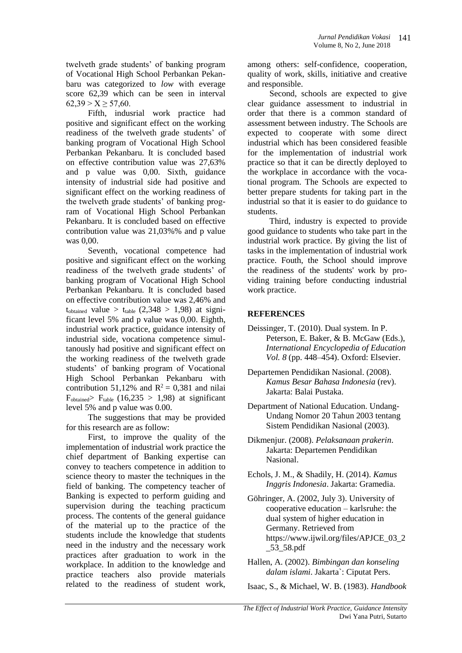twelveth grade students' of banking program of Vocational High School Perbankan Pekanbaru was categorized to *low* with everage score 62,39 which can be seen in interval  $62,39 > X \geq 57,60$ .

Fifth, indusrial work practice had positive and significant effect on the working readiness of the twelveth grade students' of banking program of Vocational High School Perbankan Pekanbaru. It is concluded based on effective contribution value was 27,63% and p value was 0,00. Sixth, guidance intensity of industrial side had positive and significant effect on the working readiness of the twelveth grade students' of banking program of Vocational High School Perbankan Pekanbaru. It is concluded based on effective contribution value was 21,03%% and p value was 0,00.

Seventh, vocational competence had positive and significant effect on the working readiness of the twelveth grade students' of banking program of Vocational High School Perbankan Pekanbaru. It is concluded based on effective contribution value was 2,46% and  $t_{\text{obtained}}$  value >  $t_{\text{table}}$  (2,348 > 1,98) at significant level 5% and p value was 0,00. Eighth, industrial work practice, guidance intensity of industrial side, vocationa competence simultanously had positive and significant effect on the working readiness of the twelveth grade students' of banking program of Vocational High School Perbankan Pekanbaru with contribution 51,12% and  $R^2 = 0,381$  and nilai  $F_{\text{obtained}} > F_{\text{table}}$  (16,235 > 1,98) at significant level 5% and p value was 0.00.

The suggestions that may be provided for this research are as follow:

First, to improve the quality of the implementation of industrial work practice the chief department of Banking expertise can convey to teachers competence in addition to science theory to master the techniques in the field of banking. The competency teacher of Banking is expected to perform guiding and supervision during the teaching practicum process. The contents of the general guidance of the material up to the practice of the students include the knowledge that students need in the industry and the necessary work practices after graduation to work in the workplace. In addition to the knowledge and practice teachers also provide materials related to the readiness of student work,

among others: self-confidence, cooperation, quality of work, skills, initiative and creative and responsible.

Second, schools are expected to give clear guidance assessment to industrial in order that there is a common standard of assessment between industry. The Schools are expected to cooperate with some direct industrial which has been considered feasible for the implementation of industrial work practice so that it can be directly deployed to the workplace in accordance with the vocational program. The Schools are expected to better prepare students for taking part in the industrial so that it is easier to do guidance to students.

Third, industry is expected to provide good guidance to students who take part in the industrial work practice. By giving the list of tasks in the implementation of industrial work practice. Fouth, the School should improve the readiness of the students' work by providing training before conducting industrial work practice.

### **REFERENCES**

- Deissinger, T. (2010). Dual system. In P. Peterson, E. Baker, & B. McGaw (Eds.), *International Encyclopedia of Education Vol. 8* (pp. 448–454). Oxford: Elsevier.
- Departemen Pendidikan Nasional. (2008). *Kamus Besar Bahasa Indonesia* (rev). Jakarta: Balai Pustaka.
- Department of National Education. Undang-Undang Nomor 20 Tahun 2003 tentang Sistem Pendidikan Nasional (2003).
- Dikmenjur. (2008). *Pelaksanaan prakerin*. Jakarta: Departemen Pendidikan Nasional.
- Echols, J. M., & Shadily, H. (2014). *Kamus Inggris Indonesia*. Jakarta: Gramedia.
- Göhringer, A. (2002, July 3). University of cooperative education – karlsruhe: the dual system of higher education in Germany. Retrieved from https://www.ijwil.org/files/APJCE\_03\_2 \_53\_58.pdf
- Hallen, A. (2002). *Bimbingan dan konseling dalam islami*. Jakarta`: Ciputat Pers.
- Isaac, S., & Michael, W. B. (1983). *Handbook*